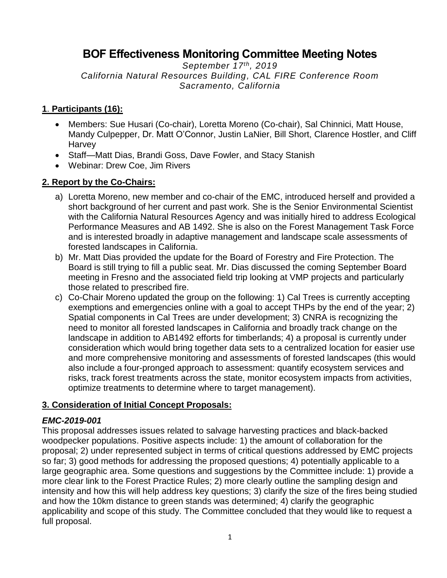# **BOF Effectiveness Monitoring Committee Meeting Notes**

*September 17th, 2019 California Natural Resources Building, CAL FIRE Conference Room Sacramento, California*

#### **1**. **Participants (16):**

- Members: Sue Husari (Co-chair), Loretta Moreno (Co-chair), Sal Chinnici, Matt House, Mandy Culpepper, Dr. Matt O'Connor, Justin LaNier, Bill Short, Clarence Hostler, and Cliff Harvey
- Staff-Matt Dias, Brandi Goss, Dave Fowler, and Stacy Stanish
- Webinar: Drew Coe, Jim Rivers

### **2. Report by the Co-Chairs:**

- a) Loretta Moreno, new member and co-chair of the EMC, introduced herself and provided a short background of her current and past work. She is the Senior Environmental Scientist with the California Natural Resources Agency and was initially hired to address Ecological Performance Measures and AB 1492. She is also on the Forest Management Task Force and is interested broadly in adaptive management and landscape scale assessments of forested landscapes in California.
- b) Mr. Matt Dias provided the update for the Board of Forestry and Fire Protection. The Board is still trying to fill a public seat. Mr. Dias discussed the coming September Board meeting in Fresno and the associated field trip looking at VMP projects and particularly those related to prescribed fire.
- c) Co-Chair Moreno updated the group on the following: 1) Cal Trees is currently accepting exemptions and emergencies online with a goal to accept THPs by the end of the year; 2) Spatial components in Cal Trees are under development; 3) CNRA is recognizing the need to monitor all forested landscapes in California and broadly track change on the landscape in addition to AB1492 efforts for timberlands; 4) a proposal is currently under consideration which would bring together data sets to a centralized location for easier use and more comprehensive monitoring and assessments of forested landscapes (this would also include a four-pronged approach to assessment: quantify ecosystem services and risks, track forest treatments across the state, monitor ecosystem impacts from activities, optimize treatments to determine where to target management).

#### **3. Consideration of Initial Concept Proposals:**

#### *EMC-2019-001*

This proposal addresses issues related to salvage harvesting practices and black-backed woodpecker populations. Positive aspects include: 1) the amount of collaboration for the proposal; 2) under represented subject in terms of critical questions addressed by EMC projects so far; 3) good methods for addressing the proposed questions; 4) potentially applicable to a large geographic area. Some questions and suggestions by the Committee include: 1) provide a more clear link to the Forest Practice Rules; 2) more clearly outline the sampling design and intensity and how this will help address key questions; 3) clarify the size of the fires being studied and how the 10km distance to green stands was determined; 4) clarify the geographic applicability and scope of this study. The Committee concluded that they would like to request a full proposal.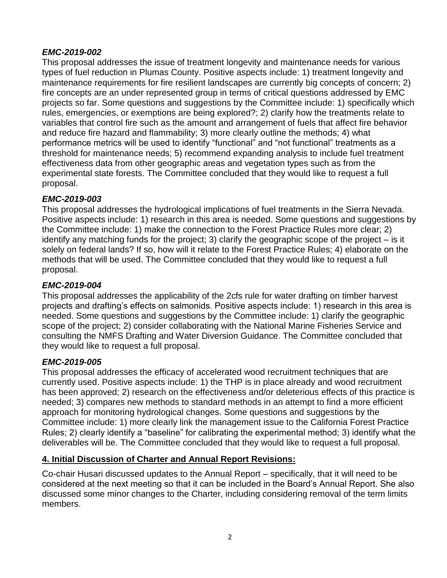### *EMC-2019-002*

This proposal addresses the issue of treatment longevity and maintenance needs for various types of fuel reduction in Plumas County. Positive aspects include: 1) treatment longevity and maintenance requirements for fire resilient landscapes are currently big concepts of concern; 2) fire concepts are an under represented group in terms of critical questions addressed by EMC projects so far. Some questions and suggestions by the Committee include: 1) specifically which rules, emergencies, or exemptions are being explored?; 2) clarify how the treatments relate to variables that control fire such as the amount and arrangement of fuels that affect fire behavior and reduce fire hazard and flammability; 3) more clearly outline the methods; 4) what performance metrics will be used to identify "functional" and "not functional" treatments as a threshold for maintenance needs; 5) recommend expanding analysis to include fuel treatment effectiveness data from other geographic areas and vegetation types such as from the experimental state forests. The Committee concluded that they would like to request a full proposal.

### *EMC-2019-003*

This proposal addresses the hydrological implications of fuel treatments in the Sierra Nevada. Positive aspects include: 1) research in this area is needed. Some questions and suggestions by the Committee include: 1) make the connection to the Forest Practice Rules more clear; 2) identify any matching funds for the project; 3) clarify the geographic scope of the project – is it solely on federal lands? If so, how will it relate to the Forest Practice Rules; 4) elaborate on the methods that will be used. The Committee concluded that they would like to request a full proposal.

# *EMC-2019-004*

This proposal addresses the applicability of the 2cfs rule for water drafting on timber harvest projects and drafting's effects on salmonids. Positive aspects include: 1) research in this area is needed. Some questions and suggestions by the Committee include: 1) clarify the geographic scope of the project; 2) consider collaborating with the National Marine Fisheries Service and consulting the NMFS Drafting and Water Diversion Guidance. The Committee concluded that they would like to request a full proposal.

# *EMC-2019-005*

This proposal addresses the efficacy of accelerated wood recruitment techniques that are currently used. Positive aspects include: 1) the THP is in place already and wood recruitment has been approved; 2) research on the effectiveness and/or deleterious effects of this practice is needed; 3) compares new methods to standard methods in an attempt to find a more efficient approach for monitoring hydrological changes. Some questions and suggestions by the Committee include: 1) more clearly link the management issue to the California Forest Practice Rules; 2) clearly identify a "baseline" for calibrating the experimental method; 3) identify what the deliverables will be. The Committee concluded that they would like to request a full proposal.

# **4. Initial Discussion of Charter and Annual Report Revisions:**

Co-chair Husari discussed updates to the Annual Report – specifically, that it will need to be considered at the next meeting so that it can be included in the Board's Annual Report. She also discussed some minor changes to the Charter, including considering removal of the term limits members.